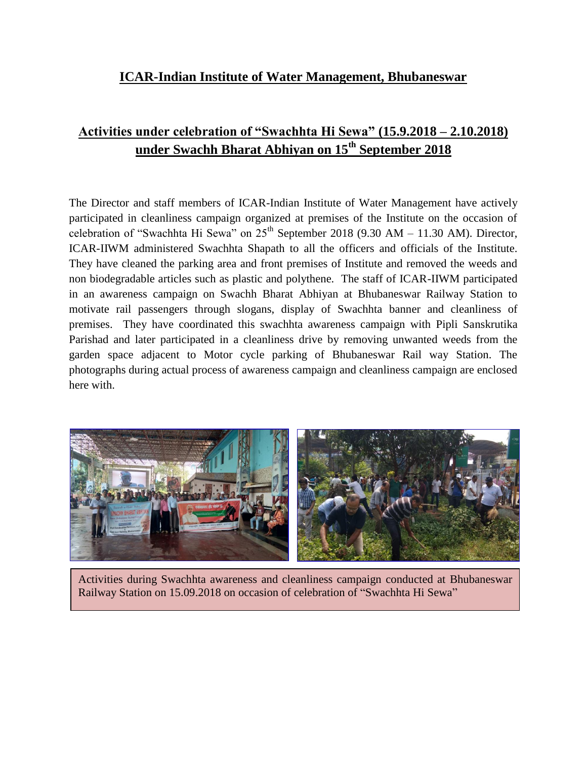## **ICAR-Indian Institute of Water Management, Bhubaneswar**

## **Activities under celebration of "Swachhta Hi Sewa" (15.9.2018 – 2.10.2018) under Swachh Bharat Abhiyan on 15th September 2018**

The Director and staff members of ICAR-Indian Institute of Water Management have actively participated in cleanliness campaign organized at premises of the Institute on the occasion of celebration of "Swachhta Hi Sewa" on  $25<sup>th</sup>$  September 2018 (9.30 AM – 11.30 AM). Director, ICAR-IIWM administered Swachhta Shapath to all the officers and officials of the Institute. They have cleaned the parking area and front premises of Institute and removed the weeds and non biodegradable articles such as plastic and polythene. The staff of ICAR-IIWM participated in an awareness campaign on Swachh Bharat Abhiyan at Bhubaneswar Railway Station to motivate rail passengers through slogans, display of Swachhta banner and cleanliness of premises. They have coordinated this swachhta awareness campaign with Pipli Sanskrutika Parishad and later participated in a cleanliness drive by removing unwanted weeds from the garden space adjacent to Motor cycle parking of Bhubaneswar Rail way Station. The photographs during actual process of awareness campaign and cleanliness campaign are enclosed here with.



Activities during Swachhta awareness and cleanliness campaign conducted at Bhubaneswar Railway Station on 15.09.2018 on occasion of celebration of "Swachhta Hi Sewa"